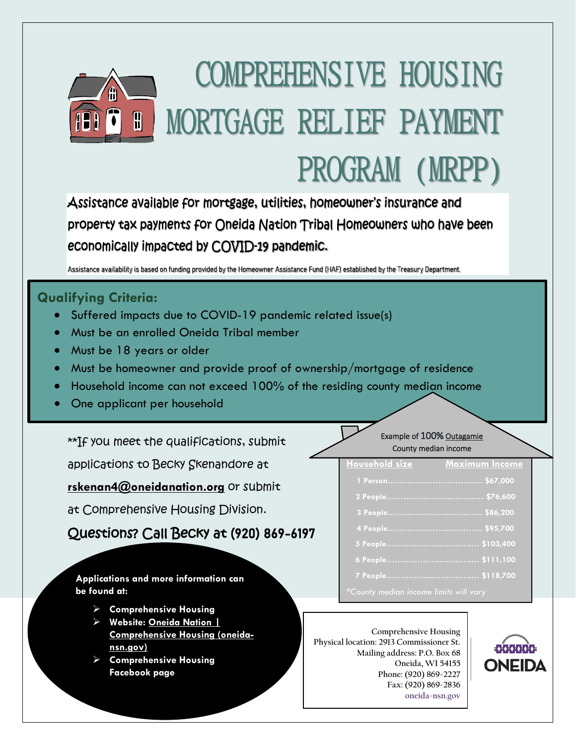# **COMPREHENSIVE HOUSING** MORTGAGE RELIEF PAYMENT A PROGRAM (MRPP)

Assistance available for mortgage, utilities, homeowner's insurance and property tax payments for Oneida Nation Tribal Homeowners who have been economically impacted by COVID-19 pandemic.

Assistance availability is based on funding provided by the Homeowner Assistance Fund (HAF) established by the Treasury Department.

#### **Qualifying Criteria:**

- Suffered impacts due to COVID-19 pandemic related issue(s)
- Must be an enrolled Oneida Tribal member
- Must be 18 years or older
- Must be homeowner and provide proof of ownership/mortgage of residence
- Household income can not exceed 100% of the residing county median income
- One applicant per household

\*\*If you meet the qualifications, submit

applications to Becky Skenandore at

**[rskenan4@oneidanation.org](mailto:rskenan4@oneidanation.org)** or submit

at Comprehensive Housing Division.

Questions? Call Becky at (920) 869-6197

**Applications and more information can be found at:**

- **Comprehensive Housing**
- **Website: [Oneida Nation |](https://oneida-nsn.gov/resources/housing/)  [Comprehensive Housing \(oneida](https://oneida-nsn.gov/resources/housing/)[nsn.gov\)](https://oneida-nsn.gov/resources/housing/)**
- **Comprehensive Housing Facebook page**

#### Example of 100% Outagamie County median income

| <b>Household size</b>                  | <b>Maximum Income</b> |
|----------------------------------------|-----------------------|
|                                        |                       |
|                                        |                       |
|                                        |                       |
|                                        |                       |
|                                        |                       |
|                                        |                       |
|                                        |                       |
| *County median income limits will vary |                       |

l

**Comprehensive Housing Physical location: 2913 Commissioner St. Mailing address: P.O. Box 68 Oneida, WI 54155 Phone: (920) 869-2227 Fax: (920) 869-2836 oneida-nsn.gov**

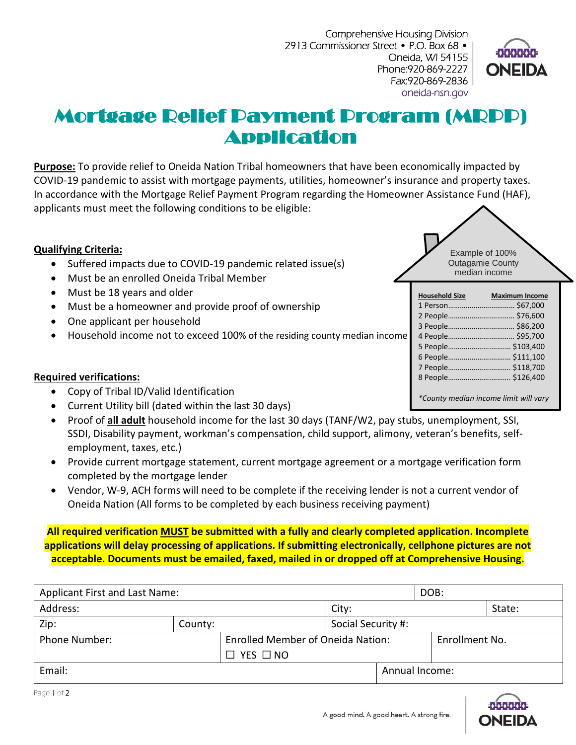Comprehensive Housing Division 2913 Commissioner Street • P.O. Box 68 • Oneida, WI 54155 Phone:920-869-2227 Fax:920-869-2836 oneida-nsn.gov



## Mortgage Relief Payment Program (MRPP) Application

**Purpose:** To provide relief to Oneida Nation Tribal homeowners that have been economically impacted by COVID-19 pandemic to assist with mortgage payments, utilities, homeowner's insurance and property taxes. In accordance with the Mortgage Relief Payment Program regarding the Homeowner Assistance Fund (HAF), applicants must meet the following conditions to be eligible:

#### **Qualifying Criteria:**

- Suffered impacts due to COVID-19 pandemic related issue(s)
- Must be an enrolled Oneida Tribal Member
- Must be 18 years and older
- Must be a homeowner and provide proof of ownership
- One applicant per household
- Household income not to exceed 100% of the residing county median income

#### **Required verifications:**

- Copy of Tribal ID/Valid Identification
- Current Utility bill (dated within the last 30 days)
- Proof of **all adult** household income for the last 30 days (TANF/W2, pay stubs, unemployment, SSI, SSDI, Disability payment, workman's compensation, child support, alimony, veteran's benefits, selfemployment, taxes, etc.)
- Provide current mortgage statement, current mortgage agreement or a mortgage verification form completed by the mortgage lender
- Vendor, W-9, ACH forms will need to be complete if the receiving lender is not a current vendor of Oneida Nation (All forms to be completed by each business receiving payment)

**All required verification MUST be submitted with a fully and clearly completed application. Incomplete applications will delay processing of applications. If submitting electronically, cellphone pictures are not acceptable. Documents must be emailed, faxed, mailed in or dropped off at Comprehensive Housing.**

| Applicant First and Last Name: |         |                                          |                    | DOB: |                |  |
|--------------------------------|---------|------------------------------------------|--------------------|------|----------------|--|
| Address:                       |         | City:                                    |                    |      | State:         |  |
| Zip:                           | County: |                                          | Social Security #: |      |                |  |
| <b>Phone Number:</b>           |         | <b>Enrolled Member of Oneida Nation:</b> |                    |      | Enrollment No. |  |
|                                |         | $\Box$ YES $\Box$ NO                     |                    |      |                |  |
| Email:                         |         |                                          |                    |      | Annual Income: |  |





| <b>Household Size</b>                 | <b>Maximum Income</b> |
|---------------------------------------|-----------------------|
|                                       |                       |
|                                       |                       |
| 3 People \$86,200                     |                       |
|                                       |                       |
| 5 People \$103,400                    |                       |
| 6 People \$111,100                    |                       |
| 7 People \$118,700                    |                       |
| 8 People \$126,400                    |                       |
|                                       |                       |
| *County median income limit will vary |                       |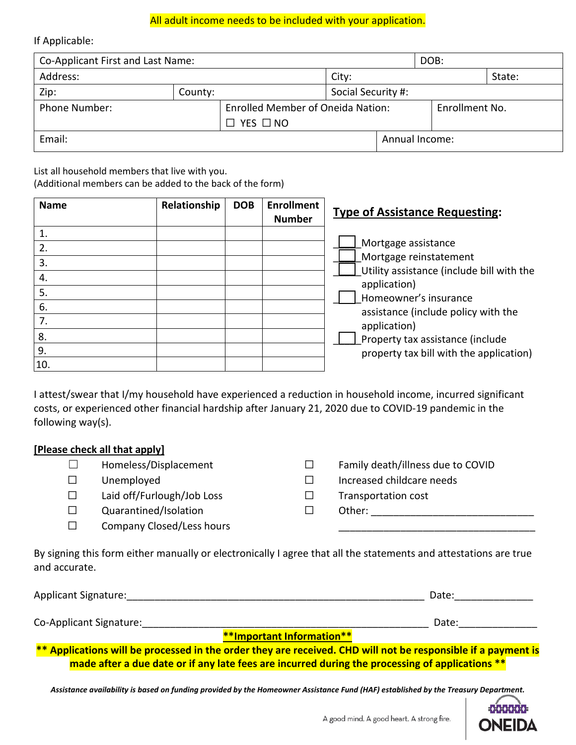#### All adult income needs to be included with your application.

If Applicable:

| Co-Applicant First and Last Name:                                |         |                            |                    | DOB:           |        |  |  |
|------------------------------------------------------------------|---------|----------------------------|--------------------|----------------|--------|--|--|
| Address:                                                         |         |                            | City:              |                | State: |  |  |
| Zip:                                                             | County: |                            | Social Security #: |                |        |  |  |
| <b>Enrolled Member of Oneida Nation:</b><br><b>Phone Number:</b> |         |                            |                    | Enrollment No. |        |  |  |
|                                                                  |         | $\square$ yes $\square$ no |                    |                |        |  |  |
| Email:                                                           |         |                            | Annual Income:     |                |        |  |  |
|                                                                  |         |                            |                    |                |        |  |  |

List all household members that live with you.

(Additional members can be added to the back of the form)

| <b>Name</b>                 | Relationship | <b>DOB</b> | <b>Enrollment</b><br><b>Number</b> | <b>Type of Assistance Requesting:</b>                                                                                               |
|-----------------------------|--------------|------------|------------------------------------|-------------------------------------------------------------------------------------------------------------------------------------|
| 1.<br>2.<br>3.<br>4.<br>5.  |              |            |                                    | Mortgage assistance<br>Mortgage reinstatement<br>Utility assistance (include bill with the<br>application)<br>Homeowner's insurance |
| 6.<br>7.<br>8.<br>9.<br>10. |              |            |                                    | assistance (include policy with the<br>application)<br>Property tax assistance (include<br>property tax bill with the application)  |

I attest/swear that I/my household have experienced a reduction in household income, incurred significant costs, or experienced other financial hardship after January 21, 2020 due to COVID-19 pandemic in the following way(s).

#### **[Please check all that apply]**

| Homeless/Displacement      | Family death/illness due to COVID |
|----------------------------|-----------------------------------|
| Unemployed                 | Increased childcare needs         |
| Laid off/Furlough/Job Loss | <b>Transportation cost</b>        |
| Quarantined/Isolation      | Other:                            |
| Company Closed/Less hours  |                                   |

By signing this form either manually or electronically I agree that all the statements and attestations are true and accurate.

| <b>Applicant Signature:</b> |                                  | Date: |
|-----------------------------|----------------------------------|-------|
| Co-Applicant Signature:     |                                  | Date: |
|                             | <b>**Important Information**</b> |       |

**\*\* Applications will be processed in the order they are received. CHD will not be responsible if a payment is made after a due date or if any late fees are incurred during the processing of applications \*\***

*Assistance availability is based on funding provided by the Homeowner Assistance Fund (HAF) established by the Treasury Department.*